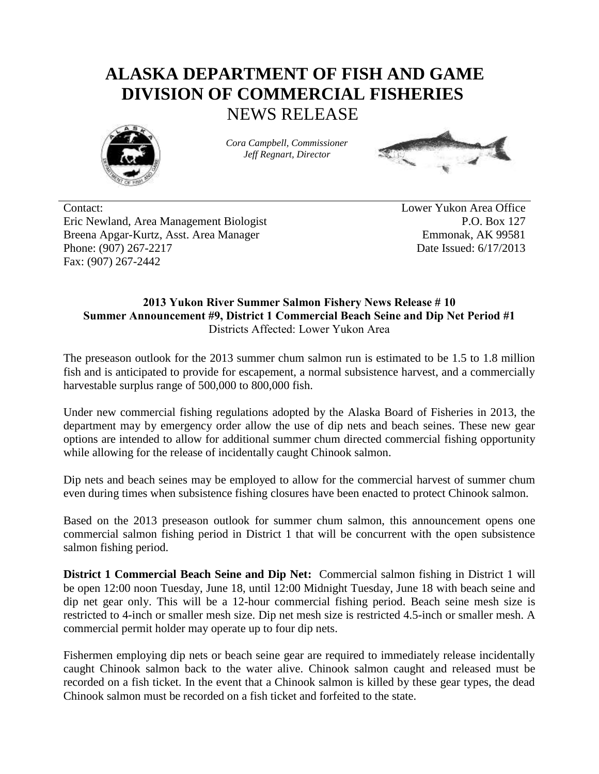## **ALASKA DEPARTMENT OF FISH AND GAME DIVISION OF COMMERCIAL FISHERIES** NEWS RELEASE



*Cora Campbell, Commissioner Jeff Regnart, Director*



Contact: Lower Yukon Area Office Eric Newland, Area Management Biologist P.O. Box 127 Breena Apgar-Kurtz, Asst. Area Manager Emmonak, AK 99581 Phone: (907) 267-2217 **Date Issued: 6/17/2013** Fax: (907) 267-2442

## **2013 Yukon River Summer Salmon Fishery News Release # 10 Summer Announcement #9, District 1 Commercial Beach Seine and Dip Net Period #1** Districts Affected: Lower Yukon Area

The preseason outlook for the 2013 summer chum salmon run is estimated to be 1.5 to 1.8 million fish and is anticipated to provide for escapement, a normal subsistence harvest, and a commercially harvestable surplus range of 500,000 to 800,000 fish.

Under new commercial fishing regulations adopted by the Alaska Board of Fisheries in 2013, the department may by emergency order allow the use of dip nets and beach seines. These new gear options are intended to allow for additional summer chum directed commercial fishing opportunity while allowing for the release of incidentally caught Chinook salmon.

Dip nets and beach seines may be employed to allow for the commercial harvest of summer chum even during times when subsistence fishing closures have been enacted to protect Chinook salmon.

Based on the 2013 preseason outlook for summer chum salmon, this announcement opens one commercial salmon fishing period in District 1 that will be concurrent with the open subsistence salmon fishing period.

**District 1 Commercial Beach Seine and Dip Net:** Commercial salmon fishing in District 1 will be open 12:00 noon Tuesday, June 18, until 12:00 Midnight Tuesday, June 18 with beach seine and dip net gear only. This will be a 12-hour commercial fishing period. Beach seine mesh size is restricted to 4-inch or smaller mesh size. Dip net mesh size is restricted 4.5-inch or smaller mesh. A commercial permit holder may operate up to four dip nets.

Fishermen employing dip nets or beach seine gear are required to immediately release incidentally caught Chinook salmon back to the water alive. Chinook salmon caught and released must be recorded on a fish ticket. In the event that a Chinook salmon is killed by these gear types, the dead Chinook salmon must be recorded on a fish ticket and forfeited to the state.